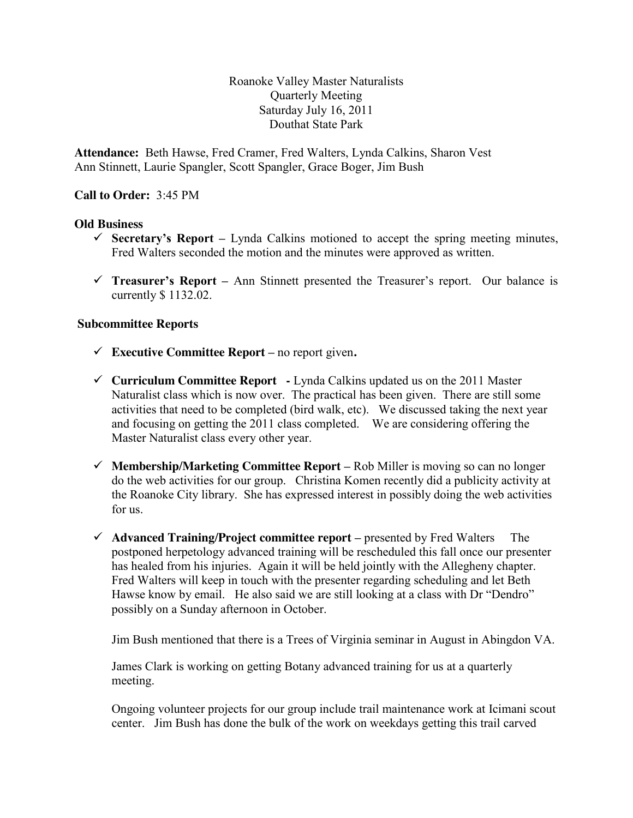Roanoke Valley Master Naturalists Quarterly Meeting Saturday July 16, 2011 Douthat State Park

**Attendance:** Beth Hawse, Fred Cramer, Fred Walters, Lynda Calkins, Sharon Vest Ann Stinnett, Laurie Spangler, Scott Spangler, Grace Boger, Jim Bush

### **Call to Order:** 3:45 PM

#### **Old Business**

- Secretary's Report Lynda Calkins motioned to accept the spring meeting minutes, Fred Walters seconded the motion and the minutes were approved as written.
- **Treasurer's Report –** Ann Stinnett presented the Treasurer's report. Our balance is currently \$ 1132.02.

#### **Subcommittee Reports**

- $\checkmark$  Executive Committee Report no report given.
- **Curriculum Committee Report -** Lynda Calkins updated us on the 2011 Master Naturalist class which is now over. The practical has been given. There are still some activities that need to be completed (bird walk, etc). We discussed taking the next year and focusing on getting the 2011 class completed. We are considering offering the Master Naturalist class every other year.
- **Membership/Marketing Committee Report –** Rob Miller is moving so can no longer do the web activities for our group. Christina Komen recently did a publicity activity at the Roanoke City library. She has expressed interest in possibly doing the web activities for us.
- **Advanced Training/Project committee report –** presented by Fred Walters The postponed herpetology advanced training will be rescheduled this fall once our presenter has healed from his injuries. Again it will be held jointly with the Allegheny chapter. Fred Walters will keep in touch with the presenter regarding scheduling and let Beth Hawse know by email. He also said we are still looking at a class with Dr "Dendro" possibly on a Sunday afternoon in October.

Jim Bush mentioned that there is a Trees of Virginia seminar in August in Abingdon VA.

James Clark is working on getting Botany advanced training for us at a quarterly meeting.

Ongoing volunteer projects for our group include trail maintenance work at Icimani scout center. Jim Bush has done the bulk of the work on weekdays getting this trail carved